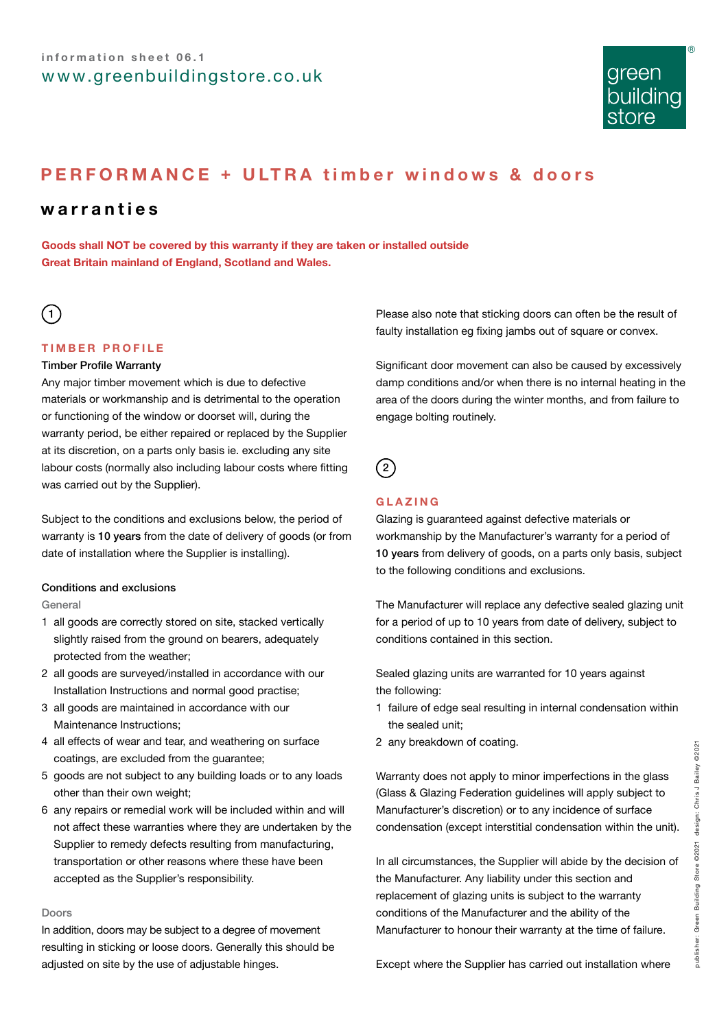

# **PERFORMANCE + ULTRA timber windows & doors**

# **warranties**

**Goods shall NOT be covered by this warranty if they are taken or installed outside Great Britain mainland of England, Scotland and Wales.**

# $\left(1\right)$

# **TIMBER PROFILE**

### Timber Profile Warranty

Any major timber movement which is due to defective materials or workmanship and is detrimental to the operation or functioning of the window or doorset will, during the warranty period, be either repaired or replaced by the Supplier at its discretion, on a parts only basis ie. excluding any site labour costs (normally also including labour costs where fitting was carried out by the Supplier).

Subject to the conditions and exclusions below, the period of warranty is 10 years from the date of delivery of goods (or from date of installation where the Supplier is installing).

## Conditions and exclusions

#### General

- 1 all goods are correctly stored on site, stacked vertically slightly raised from the ground on bearers, adequately protected from the weather;
- 2 all goods are surveyed/installed in accordance with our Installation Instructions and normal good practise;
- 3 all goods are maintained in accordance with our Maintenance Instructions;
- 4 all effects of wear and tear, and weathering on surface coatings, are excluded from the guarantee;
- 5 goods are not subject to any building loads or to any loads other than their own weight;
- 6 any repairs or remedial work will be included within and will not affect these warranties where they are undertaken by the Supplier to remedy defects resulting from manufacturing, transportation or other reasons where these have been accepted as the Supplier's responsibility.

### Doors

In addition, doors may be subject to a degree of movement resulting in sticking or loose doors. Generally this should be adjusted on site by the use of adjustable hinges.

Please also note that sticking doors can often be the result of faulty installation eg fixing jambs out of square or convex.

Significant door movement can also be caused by excessively damp conditions and/or when there is no internal heating in the area of the doors during the winter months, and from failure to engage bolting routinely.

 $\Omega$ 

# **GLAZING**

Glazing is guaranteed against defective materials or workmanship by the Manufacturer's warranty for a period of 10 years from delivery of goods, on a parts only basis, subject to the following conditions and exclusions.

The Manufacturer will replace any defective sealed glazing unit for a period of up to 10 years from date of delivery, subject to conditions contained in this section.

Sealed glazing units are warranted for 10 years against the following:

- 1 failure of edge seal resulting in internal condensation within the sealed unit;
- 2 any breakdown of coating.

Warranty does not apply to minor imperfections in the glass (Glass & Glazing Federation guidelines will apply subject to Manufacturer's discretion) or to any incidence of surface condensation (except interstitial condensation within the unit).

In all circumstances, the Supplier will abide by the decision of the Manufacturer. Any liability under this section and replacement of glazing units is subject to the warranty conditions of the Manufacturer and the ability of the Manufacturer to honour their warranty at the time of failure.

Except where the Supplier has carried out installation where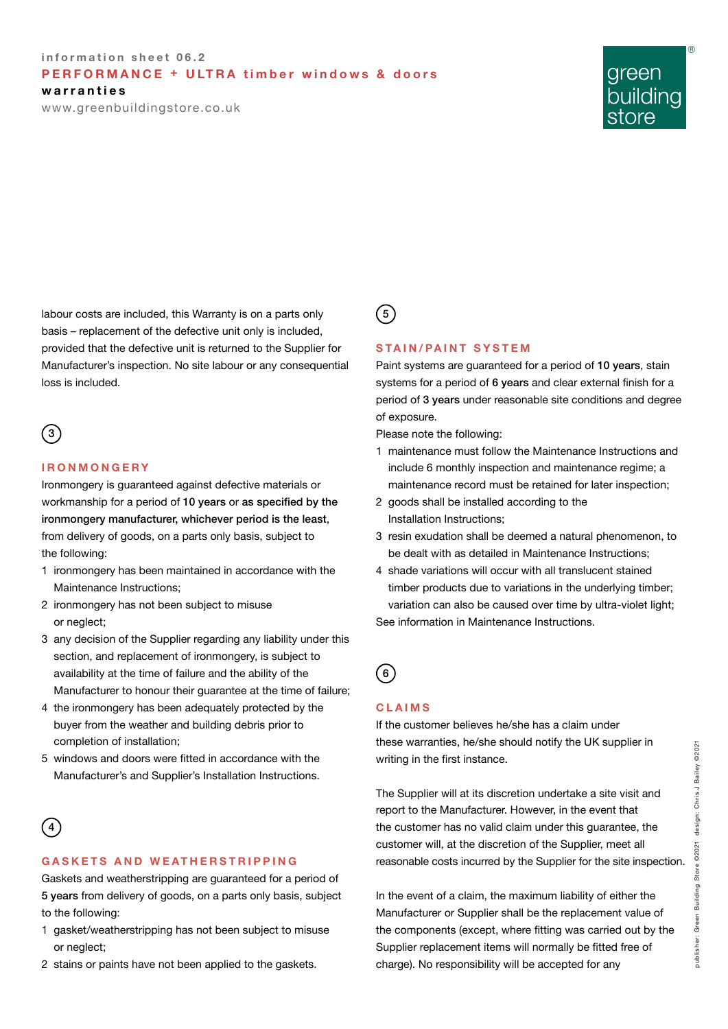# **information sheet 06.2 PERFORMANCE + ULTRA timber windows & doors**

**warranties**

www.greenbuildingstore.co.uk

# green building

®

labour costs are included, this Warranty is on a parts only basis – replacement of the defective unit only is included, provided that the defective unit is returned to the Supplier for Manufacturer's inspection. No site labour or any consequential loss is included.

# $\left(3\right)$

### **IRONMONGERY**

Ironmongery is guaranteed against defective materials or workmanship for a period of 10 years or as specified by the ironmongery manufacturer, whichever period is the least, from delivery of goods, on a parts only basis, subject to the following:

- 1 ironmongery has been maintained in accordance with the Maintenance Instructions;
- 2 ironmongery has not been subject to misuse or neglect;
- 3 any decision of the Supplier regarding any liability under this section, and replacement of ironmongery, is subject to availability at the time of failure and the ability of the Manufacturer to honour their guarantee at the time of failure;
- 4 the ironmongery has been adequately protected by the buyer from the weather and building debris prior to completion of installation;
- 5 windows and doors were fitted in accordance with the Manufacturer's and Supplier's Installation Instructions.

# 4

## **GASKETS AND WEATHERSTRIPPING**

Gaskets and weatherstripping are guaranteed for a period of 5 years from delivery of goods, on a parts only basis, subject to the following:

- 1 gasket/weatherstripping has not been subject to misuse or neglect;
- 2 stains or paints have not been applied to the gaskets.

# $(5)$

## **STAIN/PAINT SYSTEM**

Paint systems are guaranteed for a period of 10 years, stain systems for a period of 6 years and clear external finish for a period of 3 years under reasonable site conditions and degree of exposure.

Please note the following:

- 1 maintenance must follow the Maintenance Instructions and include 6 monthly inspection and maintenance regime; a maintenance record must be retained for later inspection;
- 2 goods shall be installed according to the Installation Instructions;
- 3 resin exudation shall be deemed a natural phenomenon, to be dealt with as detailed in Maintenance Instructions;
- 4 shade variations will occur with all translucent stained timber products due to variations in the underlying timber; variation can also be caused over time by ultra-violet light; See information in Maintenance Instructions.

# 6

## **CLAIMS**

If the customer believes he/she has a claim under these warranties, he/she should notify the UK supplier in writing in the first instance.

The Supplier will at its discretion undertake a site visit and report to the Manufacturer. However, in the event that the customer has no valid claim under this guarantee, the customer will, at the discretion of the Supplier, meet all reasonable costs incurred by the Supplier for the site inspection.

In the event of a claim, the maximum liability of either the Manufacturer or Supplier shall be the replacement value of the components (except, where fitting was carried out by the Supplier replacement items will normally be fitted free of charge). No responsibility will be accepted for any